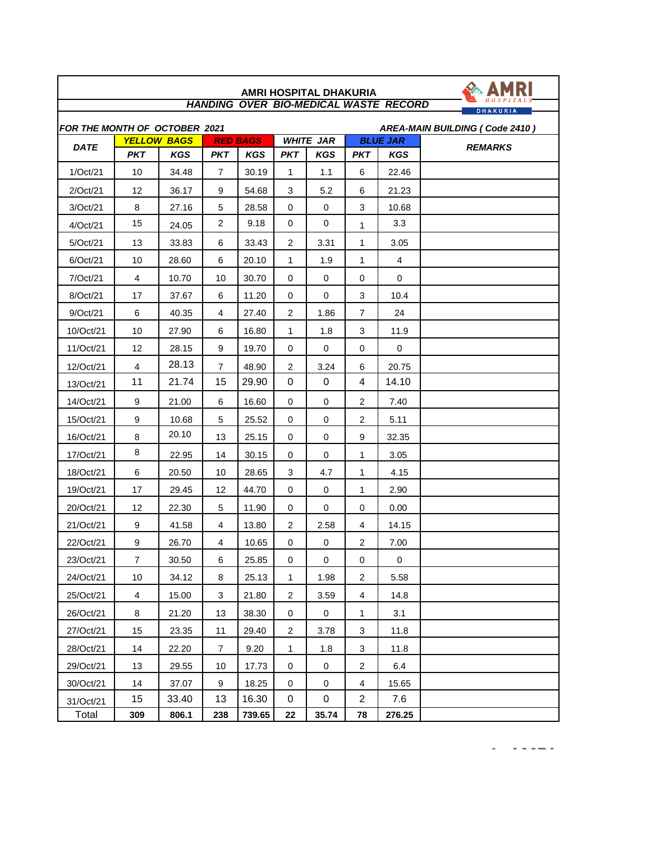| <b>HANDING OVER BIO-MEDICAL WASTE RECORD</b><br><b>DHAKURIA</b>        |                |                    |                 |            |                  |            |                |                 |                |  |
|------------------------------------------------------------------------|----------------|--------------------|-----------------|------------|------------------|------------|----------------|-----------------|----------------|--|
| FOR THE MONTH OF OCTOBER 2021<br><b>AREA-MAIN BUILDING (Code 2410)</b> |                |                    |                 |            |                  |            |                |                 |                |  |
| <b>DATE</b>                                                            |                | <b>YELLOW BAGS</b> | <b>RED BAGS</b> |            | <b>WHITE JAR</b> |            |                | <b>BLUE JAR</b> | <b>REMARKS</b> |  |
|                                                                        | <b>PKT</b>     | <b>KGS</b>         | <b>PKT</b>      | <b>KGS</b> | <b>PKT</b>       | <b>KGS</b> | <b>PKT</b>     | KGS             |                |  |
| 1/Oct/21                                                               | 10             | 34.48              | 7               | 30.19      | 1                | 1.1        | 6              | 22.46           |                |  |
| 2/Oct/21                                                               | 12             | 36.17              | 9               | 54.68      | 3                | 5.2        | 6              | 21.23           |                |  |
| 3/Oct/21                                                               | 8              | 27.16              | 5               | 28.58      | 0                | 0          | 3              | 10.68           |                |  |
| 4/Oct/21                                                               | 15             | 24.05              | $\overline{c}$  | 9.18       | $\mathbf 0$      | 0          | 1              | 3.3             |                |  |
| 5/Oct/21                                                               | 13             | 33.83              | 6               | 33.43      | 2                | 3.31       | 1              | 3.05            |                |  |
| 6/Oct/21                                                               | 10             | 28.60              | 6               | 20.10      | 1                | 1.9        | 1              | $\overline{4}$  |                |  |
| 7/Oct/21                                                               | $\overline{4}$ | 10.70              | 10              | 30.70      | 0                | 0          | 0              | 0               |                |  |
| 8/Oct/21                                                               | 17             | 37.67              | 6               | 11.20      | 0                | 0          | 3              | 10.4            |                |  |
| 9/Oct/21                                                               | 6              | 40.35              | 4               | 27.40      | $\overline{2}$   | 1.86       | 7              | 24              |                |  |
| 10/Oct/21                                                              | 10             | 27.90              | 6               | 16.80      | 1                | 1.8        | 3              | 11.9            |                |  |
| 11/Oct/21                                                              | 12             | 28.15              | 9               | 19.70      | 0                | 0          | 0              | $\mathbf 0$     |                |  |
| 12/Oct/21                                                              | $\overline{4}$ | 28.13              | $\overline{7}$  | 48.90      | $\overline{2}$   | 3.24       | 6              | 20.75           |                |  |
| 13/Oct/21                                                              | 11             | 21.74              | 15              | 29.90      | 0                | 0          | 4              | 14.10           |                |  |
| 14/Oct/21                                                              | 9              | 21.00              | 6               | 16.60      | 0                | 0          | 2              | 7.40            |                |  |
| 15/Oct/21                                                              | 9              | 10.68              | 5               | 25.52      | 0                | 0          | 2              | 5.11            |                |  |
| 16/Oct/21                                                              | 8              | 20.10              | 13              | 25.15      | 0                | 0          | 9              | 32.35           |                |  |
| 17/Oct/21                                                              | 8              | 22.95              | 14              | 30.15      | 0                | 0          | 1              | 3.05            |                |  |
| 18/Oct/21                                                              | 6              | 20.50              | 10              | 28.65      | 3                | 4.7        | 1              | 4.15            |                |  |
| 19/Oct/21                                                              | 17             | 29.45              | 12              | 44.70      | 0                | 0          | 1              | 2.90            |                |  |
| 20/Oct/21                                                              | 12             | 22.30              | 5               | 11.90      | 0                | 0          | 0              | 0.00            |                |  |
| 21/Oct/21                                                              | 9              | 41.58              | 4               | 13.80      | 2                | 2.58       | 4              | 14.15           |                |  |
| 22/Oct/21                                                              | 9              | 26.70              | 4               | 10.65      | 0                | 0          | $\overline{2}$ | 7.00            |                |  |
| 23/Oct/21                                                              | $\overline{7}$ | 30.50              | 6               | 25.85      | $\pmb{0}$        | $\pmb{0}$  | $\pmb{0}$      | 0               |                |  |
| 24/Oct/21                                                              | $10$           | 34.12              | 8               | 25.13      | 1                | 1.98       | $\overline{c}$ | 5.58            |                |  |
| 25/Oct/21                                                              | 4              | 15.00              | 3               | 21.80      | $\overline{2}$   | 3.59       | 4              | 14.8            |                |  |
| 26/Oct/21                                                              | 8              | 21.20              | 13              | 38.30      | 0                | 0          | 1              | 3.1             |                |  |
| 27/Oct/21                                                              | 15             | 23.35              | 11              | 29.40      | $\overline{2}$   | 3.78       | 3              | 11.8            |                |  |
| 28/Oct/21                                                              | 14             | 22.20              | $\overline{7}$  | 9.20       | $\mathbf{1}$     | 1.8        | 3              | 11.8            |                |  |
| 29/Oct/21                                                              | 13             | 29.55              | 10              | 17.73      | 0                | 0          | 2              | 6.4             |                |  |
| 30/Oct/21                                                              | 14             | 37.07              | 9               | 18.25      | 0                | 0          | 4              | 15.65           |                |  |
| 31/Oct/21                                                              | 15             | 33.40              | 13              | 16.30      | 0                | 0          | $\overline{2}$ | 7.6             |                |  |
| Total                                                                  | 309            | 806.1              | 238             | 739.65     | 22               | 35.74      | 78             | 276.25          |                |  |

 $\sim$   $\sim$   $\sim$   $\sim$   $\sim$ 

 $\blacktriangle$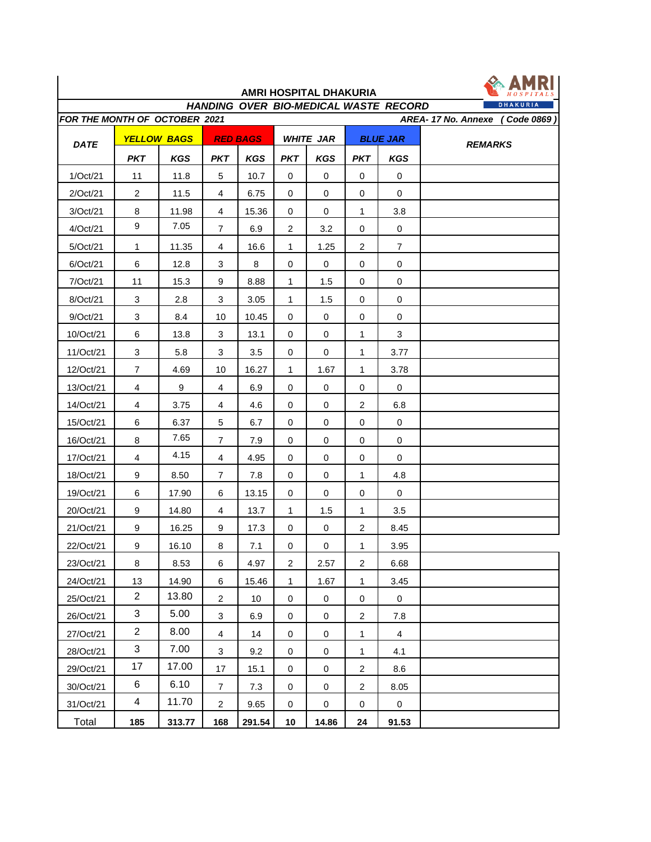| DHAKURIA<br>HANDING OVER BIO-MEDICAL WASTE RECORD<br>FOR THE MONTH OF OCTOBER 2021<br>AREA-17 No. Annexe<br>Code 0869 |                    |            |                           |                 |                  |             |                 |                |                |
|-----------------------------------------------------------------------------------------------------------------------|--------------------|------------|---------------------------|-----------------|------------------|-------------|-----------------|----------------|----------------|
| <b>DATE</b>                                                                                                           | <b>YELLOW BAGS</b> |            | <b>RED BAGS</b>           |                 | <b>WHITE JAR</b> |             | <b>BLUE JAR</b> |                | <b>REMARKS</b> |
|                                                                                                                       | <b>PKT</b>         | <b>KGS</b> | <b>PKT</b>                | <b>KGS</b>      | <b>PKT</b>       | <b>KGS</b>  | <b>PKT</b>      | <b>KGS</b>     |                |
| 1/Oct/21                                                                                                              | 11                 | 11.8       | 5                         | 10.7            | $\mathbf 0$      | $\mathbf 0$ | $\pmb{0}$       | $\mathbf 0$    |                |
| 2/Oct/21                                                                                                              | $\overline{2}$     | 11.5       | $\overline{\mathbf{4}}$   | 6.75            | 0                | 0           | 0               | 0              |                |
| 3/Oct/21                                                                                                              | 8                  | 11.98      | 4                         | 15.36           | 0                | 0           | 1               | 3.8            |                |
| 4/Oct/21                                                                                                              | 9                  | 7.05       | $\overline{7}$            | 6.9             | $\overline{2}$   | 3.2         | 0               | $\pmb{0}$      |                |
| 5/Oct/21                                                                                                              | 1                  | 11.35      | 4                         | 16.6            | 1                | 1.25        | $\overline{c}$  | $\overline{7}$ |                |
| 6/Oct/21                                                                                                              | 6                  | 12.8       | 3                         | 8               | 0                | 0           | 0               | 0              |                |
| 7/Oct/21                                                                                                              | 11                 | 15.3       | 9                         | 8.88            | 1                | 1.5         | 0               | 0              |                |
| 8/Oct/21                                                                                                              | 3                  | 2.8        | 3                         | 3.05            | 1                | 1.5         | $\Omega$        | 0              |                |
| 9/Oct/21                                                                                                              | 3                  | 8.4        | 10                        | 10.45           | 0                | 0           | 0               | 0              |                |
| 10/Oct/21                                                                                                             | 6                  | 13.8       | 3                         | 13.1            | 0                | 0           | 1               | 3              |                |
| 11/Oct/21                                                                                                             | 3                  | 5.8        | 3                         | 3.5             | 0                | 0           | 1               | 3.77           |                |
| 12/Oct/21                                                                                                             | $\overline{7}$     | 4.69       | 10                        | 16.27           | $\mathbf{1}$     | 1.67        | 1               | 3.78           |                |
| 13/Oct/21                                                                                                             | $\overline{4}$     | 9          | 4                         | 6.9             | 0                | 0           | 0               | 0              |                |
| 14/Oct/21                                                                                                             | 4                  | 3.75       | 4                         | 4.6             | 0                | 0           | $\overline{c}$  | 6.8            |                |
| 15/Oct/21                                                                                                             | 6                  | 6.37       | 5                         | 6.7             | 0                | 0           | 0               | 0              |                |
| 16/Oct/21                                                                                                             | 8                  | 7.65       | $\overline{7}$            | 7.9             | 0                | 0           | 0               | 0              |                |
| 17/Oct/21                                                                                                             | 4                  | 4.15       | 4                         | 4.95            | 0                | 0           | 0               | 0              |                |
| 18/Oct/21                                                                                                             | 9                  | 8.50       | $\overline{7}$            | 7.8             | 0                | 0           | 1               | 4.8            |                |
| 19/Oct/21                                                                                                             | 6                  | 17.90      | 6                         | 13.15           | 0                | 0           | 0               | 0              |                |
| 20/Oct/21                                                                                                             | 9                  | 14.80      | 4                         | 13.7            | 1                | 1.5         | 1               | 3.5            |                |
| 21/Oct/21                                                                                                             | 9                  | 16.25      | 9                         | 17.3            | $\mathbf 0$      | 0           | $\overline{2}$  | 8.45           |                |
| 22/Oct/21                                                                                                             | 9                  | 16.10      | 8                         | 7.1             | 0                | $\pmb{0}$   | $\mathbf{1}$    | 3.95           |                |
| 23/Oct/21                                                                                                             | 8                  | 8.53       | 6                         | 4.97            | 2                | 2.57        | $\overline{2}$  | 6.68           |                |
| 24/Oct/21                                                                                                             | 13                 | 14.90      | 6                         | 15.46           | 1                | 1.67        | 1               | 3.45           |                |
| 25/Oct/21                                                                                                             | $\overline{2}$     | 13.80      | $\overline{2}$            | 10 <sub>1</sub> | $\mathbf 0$      | $\mathbf 0$ | 0               | $\mathsf{O}$   |                |
| 26/Oct/21                                                                                                             | 3                  | 5.00       | $\ensuremath{\mathsf{3}}$ | 6.9             | 0                | 0           | $\overline{c}$  | 7.8            |                |
| 27/Oct/21                                                                                                             | $\overline{a}$     | 8.00       | 4                         | 14              | 0                | 0           | 1               | 4              |                |
| 28/Oct/21                                                                                                             | $\mathbf{3}$       | 7.00       | 3                         | 9.2             | 0                | 0           | $\mathbf 1$     | 4.1            |                |
| 29/Oct/21                                                                                                             | 17                 | 17.00      | 17                        | 15.1            | 0                | 0           | $\overline{c}$  | 8.6            |                |
| 30/Oct/21                                                                                                             | 6                  | 6.10       | $\overline{7}$            | 7.3             | 0                | 0           | $\overline{c}$  | 8.05           |                |
| 31/Oct/21                                                                                                             | $\overline{4}$     | 11.70      | $\overline{2}$            | 9.65            | 0                | 0           | 0               | 0              |                |
| Total                                                                                                                 | 185                | 313.77     | 168                       | 291.54          | 10               | 14.86       | 24              | 91.53          |                |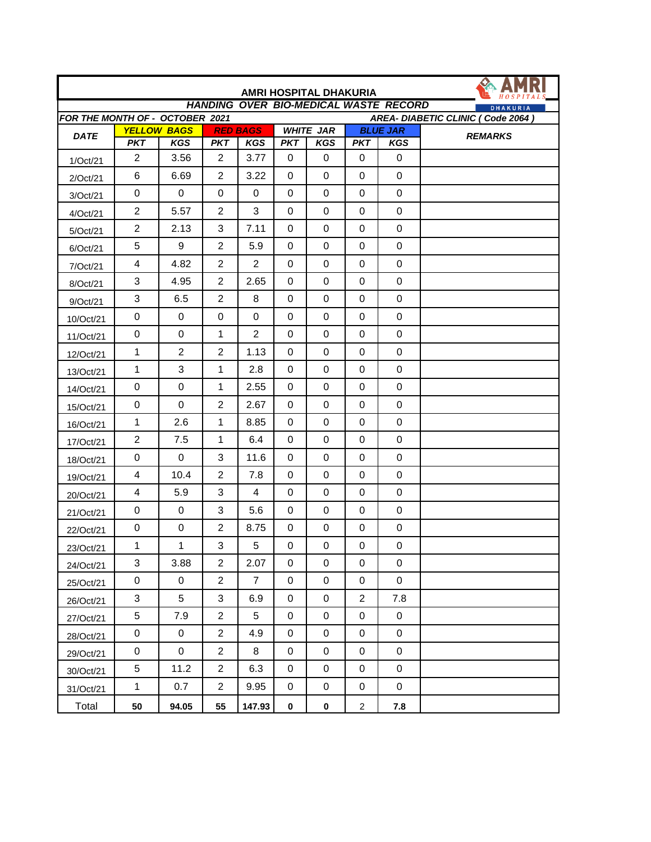| AMRI HOSPITAL DHAKURIA                                               |                          |                                  |                |                               |             |                                |                |                               |                |
|----------------------------------------------------------------------|--------------------------|----------------------------------|----------------|-------------------------------|-------------|--------------------------------|----------------|-------------------------------|----------------|
| <b>HANDING OVER BIO-MEDICAL WASTE RECORD</b><br><b>DHAKURIA</b>      |                          |                                  |                |                               |             |                                |                |                               |                |
| FOR THE MONTH OF - OCTOBER 2021<br>AREA- DIABETIC CLINIC (Code 2064) |                          |                                  |                |                               |             |                                |                |                               |                |
| <b>DATE</b>                                                          | <b>PKT</b>               | <b>YELLOW BAGS</b><br><b>KGS</b> | <b>PKT</b>     | <b>RED BAGS</b><br><b>KGS</b> | <b>PKT</b>  | <b>WHITE JAR</b><br><b>KGS</b> | <b>PKT</b>     | <b>BLUE JAR</b><br><b>KGS</b> | <b>REMARKS</b> |
| 1/Oct/21                                                             | $\overline{2}$           | 3.56                             | 2              | 3.77                          | 0           | $\mathbf 0$                    | 0              | $\mathbf 0$                   |                |
| 2/Oct/21                                                             | 6                        | 6.69                             | $\overline{2}$ | 3.22                          | $\Omega$    | 0                              | $\Omega$       | $\mathbf 0$                   |                |
| 3/Oct/21                                                             | $\pmb{0}$                | $\mathbf 0$                      | 0              | $\mathbf 0$                   | $\mathbf 0$ | 0                              | $\Omega$       | $\Omega$                      |                |
| 4/Oct/21                                                             | $\overline{2}$           | 5.57                             | 2              | 3                             | $\mathbf 0$ | 0                              | 0              | $\mathbf 0$                   |                |
| 5/Oct/21                                                             | $\overline{2}$           | 2.13                             | 3              | 7.11                          | $\mathbf 0$ | 0                              | 0              | $\mathbf 0$                   |                |
| 6/Oct/21                                                             | 5                        | 9                                | $\overline{2}$ | 5.9                           | $\Omega$    | 0                              | $\Omega$       | $\Omega$                      |                |
| 7/Oct/21                                                             | $\overline{\mathcal{A}}$ | 4.82                             | $\overline{2}$ | $\overline{c}$                | $\mathbf 0$ | $\mathbf 0$                    | $\mathbf 0$    | $\mathbf 0$                   |                |
| 8/Oct/21                                                             | 3                        | 4.95                             | 2              | 2.65                          | $\mathbf 0$ | $\mathbf 0$                    | 0              | $\mathbf 0$                   |                |
| 9/Oct/21                                                             | 3                        | 6.5                              | $\overline{2}$ | 8                             | $\mathbf 0$ | 0                              | 0              | $\mathbf 0$                   |                |
| 10/Oct/21                                                            | $\pmb{0}$                | 0                                | 0              | $\Omega$                      | $\Omega$    | $\mathbf 0$                    | $\Omega$       | $\mathbf 0$                   |                |
| 11/Oct/21                                                            | $\pmb{0}$                | 0                                | $\mathbf{1}$   | $\overline{2}$                | $\mathbf 0$ | 0                              | 0              | $\mathbf 0$                   |                |
| 12/Oct/21                                                            | $\mathbf{1}$             | $\overline{c}$                   | $\overline{2}$ | 1.13                          | $\mathbf 0$ | $\pmb{0}$                      | 0              | $\mathbf 0$                   |                |
| 13/Oct/21                                                            | 1                        | 3                                | 1              | 2.8                           | $\mathbf 0$ | 0                              | 0              | $\mathbf 0$                   |                |
| 14/Oct/21                                                            | 0                        | 0                                | 1              | 2.55                          | $\mathbf 0$ | 0                              | $\mathbf 0$    | $\mathbf 0$                   |                |
| 15/Oct/21                                                            | $\pmb{0}$                | 0                                | $\overline{2}$ | 2.67                          | 0           | 0                              | 0              | $\mathbf 0$                   |                |
| 16/Oct/21                                                            | $\mathbf 1$              | 2.6                              | 1              | 8.85                          | $\mathbf 0$ | 0                              | $\mathbf 0$    | $\mathbf 0$                   |                |
| 17/Oct/21                                                            | $\overline{2}$           | 7.5                              | 1              | 6.4                           | 0           | $\pmb{0}$                      | $\pmb{0}$      | $\pmb{0}$                     |                |
| 18/Oct/21                                                            | $\pmb{0}$                | 0                                | 3              | 11.6                          | $\mathbf 0$ | 0                              | $\mathbf 0$    | $\mathbf 0$                   |                |
| 19/Oct/21                                                            | 4                        | 10.4                             | $\overline{2}$ | 7.8                           | $\mathbf 0$ | 0                              | 0              | $\mathbf 0$                   |                |
| 20/Oct/21                                                            | 4                        | 5.9                              | 3              | $\overline{4}$                | $\mathbf 0$ | 0                              | $\mathbf 0$    | $\mathbf 0$                   |                |
| 21/Oct/21                                                            | $\pmb{0}$                | 0                                | 3              | 5.6                           | $\mathbf 0$ | $\pmb{0}$                      | 0              | $\mathbf 0$                   |                |
| 22/Oct/21                                                            | 0                        | 0                                | $\overline{2}$ | 8.75                          | 0           | $\pmb{0}$                      | 0              | 0                             |                |
| 23/Oct/21                                                            | 1                        | 1                                | 3              | 5                             | 0           | 0                              | 0              | 0                             |                |
| 24/Oct/21                                                            | 3                        | 3.88                             | $\overline{2}$ | 2.07                          | $\mathbf 0$ | 0                              | 0              | $\pmb{0}$                     |                |
| 25/Oct/21                                                            | $\boldsymbol{0}$         | 0                                | $\overline{2}$ | $\overline{7}$                | 0           | 0                              | $\,0\,$        | $\mathbf 0$                   |                |
| 26/Oct/21                                                            | 3                        | 5                                | $\mathfrak{S}$ | 6.9                           | 0           | 0                              | $\overline{c}$ | 7.8                           |                |
| 27/Oct/21                                                            | 5                        | 7.9                              | $\overline{2}$ | 5                             | 0           | 0                              | 0              | $\mathbf 0$                   |                |
| 28/Oct/21                                                            | 0                        | 0                                | $\overline{2}$ | 4.9                           | $\mathbf 0$ | 0                              | $\pmb{0}$      | $\mathbf 0$                   |                |
| 29/Oct/21                                                            | $\pmb{0}$                | $\pmb{0}$                        | $\overline{2}$ | 8                             | $\pmb{0}$   | $\pmb{0}$                      | $\pmb{0}$      | $\pmb{0}$                     |                |
| 30/Oct/21                                                            | 5                        | 11.2                             | $\overline{2}$ | 6.3                           | 0           | 0                              | 0              | 0                             |                |
| 31/Oct/21                                                            | $\mathbf{1}$             | 0.7                              | $\overline{2}$ | 9.95                          | $\pmb{0}$   | $\pmb{0}$                      | $\pmb{0}$      | $\pmb{0}$                     |                |
| Total                                                                | 50                       | 94.05                            | 55             | 147.93                        | $\bf{0}$    | $\pmb{0}$                      | $\overline{c}$ | 7.8                           |                |